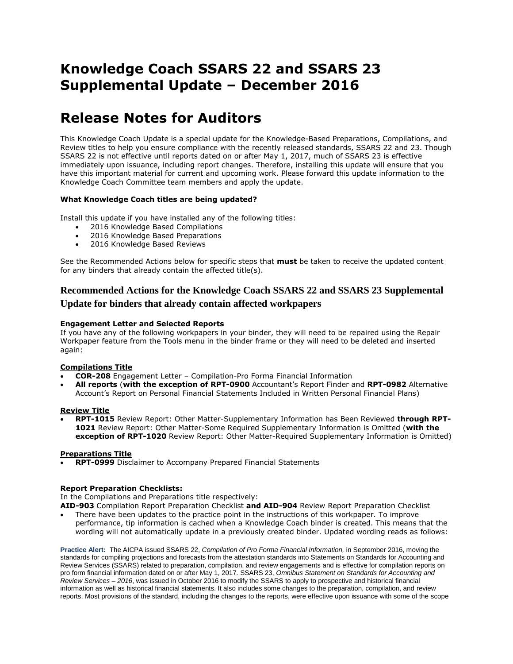# **Knowledge Coach SSARS 22 and SSARS 23 Supplemental Update – December 2016**

# **Release Notes for Auditors**

This Knowledge Coach Update is a special update for the Knowledge-Based Preparations, Compilations, and Review titles to help you ensure compliance with the recently released standards, SSARS 22 and 23. Though SSARS 22 is not effective until reports dated on or after May 1, 2017, much of SSARS 23 is effective immediately upon issuance, including report changes. Therefore, installing this update will ensure that you have this important material for current and upcoming work. Please forward this update information to the Knowledge Coach Committee team members and apply the update.

# **What Knowledge Coach titles are being updated?**

Install this update if you have installed any of the following titles:

- 2016 Knowledge Based Compilations
- 2016 Knowledge Based Preparations
- 2016 Knowledge Based Reviews

See the Recommended Actions below for specific steps that **must** be taken to receive the updated content for any binders that already contain the affected title(s).

# **Recommended Actions for the Knowledge Coach SSARS 22 and SSARS 23 Supplemental Update for binders that already contain affected workpapers**

# **Engagement Letter and Selected Reports**

If you have any of the following workpapers in your binder, they will need to be repaired using the Repair Workpaper feature from the Tools menu in the binder frame or they will need to be deleted and inserted again:

### **Compilations Title**

- **COR-208** Engagement Letter Compilation-Pro Forma Financial Information
- **All reports** (**with the exception of RPT-0900** Accountant's Report Finder and **RPT-0982** Alternative Account's Report on Personal Financial Statements Included in Written Personal Financial Plans)

# **Review Title**

 **RPT-1015** Review Report: Other Matter-Supplementary Information has Been Reviewed **through RPT-1021** Review Report: Other Matter-Some Required Supplementary Information is Omitted (**with the exception of RPT-1020** Review Report: Other Matter-Required Supplementary Information is Omitted)

### **Preparations Title**

**RPT-0999** Disclaimer to Accompany Prepared Financial Statements

### **Report Preparation Checklists:**

In the Compilations and Preparations title respectively:

**AID-903** Compilation Report Preparation Checklist **and AID-904** Review Report Preparation Checklist

 There have been updates to the practice point in the instructions of this workpaper. To improve performance, tip information is cached when a Knowledge Coach binder is created. This means that the wording will not automatically update in a previously created binder. Updated wording reads as follows:

**Practice Alert:** The AICPA issued SSARS 22, *Compilation of Pro Forma Financial Information,* in September 2016, moving the standards for compiling projections and forecasts from the attestation standards into Statements on Standards for Accounting and Review Services (SSARS) related to preparation, compilation, and review engagements and is effective for compilation reports on pro form financial information dated on or after May 1, 2017*.* SSARS 23, *Omnibus Statement on Standards for Accounting and Review Services – 2016*, was issued in October 2016 to modify the SSARS to apply to prospective and historical financial information as well as historical financial statements. It also includes some changes to the preparation, compilation, and review reports. Most provisions of the standard, including the changes to the reports, were effective upon issuance with some of the scope